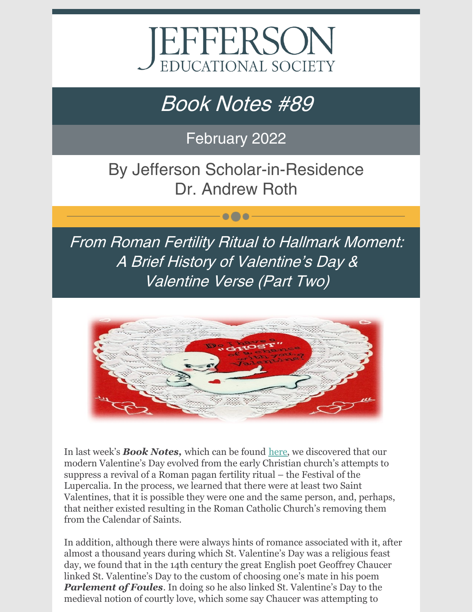

# Book Notes #89

February 2022

By Jefferson Scholar-in-Residence Dr. Andrew Roth

 $\bullet\bullet\bullet$ 

From Roman Fertility Ritual to Hallmark Moment: A Brief History of Valentine's Day & Valentine Verse (Part Two)



In last week's *Book Notes,* which can be found [here](https://www.jeserie.org/uploads/Essays/Book Notes 88 From Roman Fertility Ritual to Hallmark Moment.pdf), we discovered that our modern Valentine's Day evolved from the early Christian church's attempts to suppress a revival of a Roman pagan fertility ritual – the Festival of the Lupercalia. In the process, we learned that there were at least two Saint Valentines, that it is possible they were one and the same person, and, perhaps, that neither existed resulting in the Roman Catholic Church's removing them from the Calendar of Saints.

In addition, although there were always hints of romance associated with it, after almost a thousand years during which St. Valentine's Day was a religious feast day, we found that in the 14th century the great English poet Geoffrey Chaucer linked St. Valentine's Day to the custom of choosing one's mate in his poem *Parlement of Foules*. In doing so he also linked St. Valentine's Day to the medieval notion of courtly love, which some say Chaucer was attempting to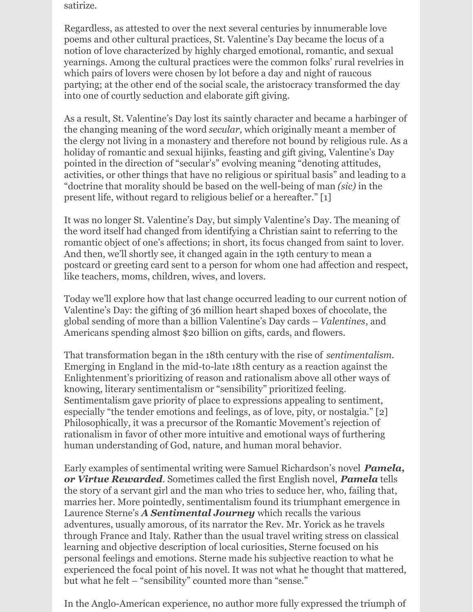satirize.

Regardless, as attested to over the next several centuries by innumerable love poems and other cultural practices, St. Valentine's Day became the locus of a notion of love characterized by highly charged emotional, romantic, and sexual yearnings. Among the cultural practices were the common folks' rural revelries in which pairs of lovers were chosen by lot before a day and night of raucous partying; at the other end of the social scale, the aristocracy transformed the day into one of courtly seduction and elaborate gift giving.

As a result, St. Valentine's Day lost its saintly character and became a harbinger of the changing meaning of the word *secular,* which originally meant a member of the clergy not living in a monastery and therefore not bound by religious rule. As a holiday of romantic and sexual hijinks, feasting and gift giving, Valentine's Day pointed in the direction of "secular's" evolving meaning "denoting attitudes, activities, or other things that have no religious or spiritual basis" and leading to a "doctrine that morality should be based on the well-being of man *(sic)* in the present life, without regard to religious belief or a hereafter." [1]

It was no longer St. Valentine's Day, but simply Valentine's Day. The meaning of the word itself had changed from identifying a Christian saint to referring to the romantic object of one's affections; in short, its focus changed from saint to lover. And then, we'll shortly see, it changed again in the 19th century to mean a postcard or greeting card sent to a person for whom one had affection and respect, like teachers, moms, children, wives, and lovers.

Today we'll explore how that last change occurred leading to our current notion of Valentine's Day: the gifting of 36 million heart shaped boxes of chocolate, the global sending of more than a billion Valentine's Day cards – *Valentines*, and Americans spending almost \$20 billion on gifts, cards, and flowers.

That transformation began in the 18th century with the rise of *sentimentalism*. Emerging in England in the mid-to-late 18th century as a reaction against the Enlightenment's prioritizing of reason and rationalism above all other ways of knowing, literary sentimentalism or "sensibility" prioritized feeling. Sentimentalism gave priority of place to expressions appealing to sentiment, especially "the tender emotions and feelings, as of love, pity, or nostalgia." [2] Philosophically, it was a precursor of the Romantic Movement's rejection of rationalism in favor of other more intuitive and emotional ways of furthering human understanding of God, nature, and human moral behavior.

Early examples of sentimental writing were Samuel Richardson's novel *Pamela, or Virtue Rewarded*. Sometimes called the first English novel, *Pamela* tells the story of a servant girl and the man who tries to seduce her, who, failing that, marries her. More pointedly, sentimentalism found its triumphant emergence in Laurence Sterne's *A Sentimental Journey* which recalls the various adventures, usually amorous, of its narrator the Rev. Mr. Yorick as he travels through France and Italy. Rather than the usual travel writing stress on classical learning and objective description of local curiosities, Sterne focused on his personal feelings and emotions. Sterne made his subjective reaction to what he experienced the focal point of his novel. It was not what he thought that mattered, but what he felt – "sensibility" counted more than "sense."

In the Anglo-American experience, no author more fully expressed the triumph of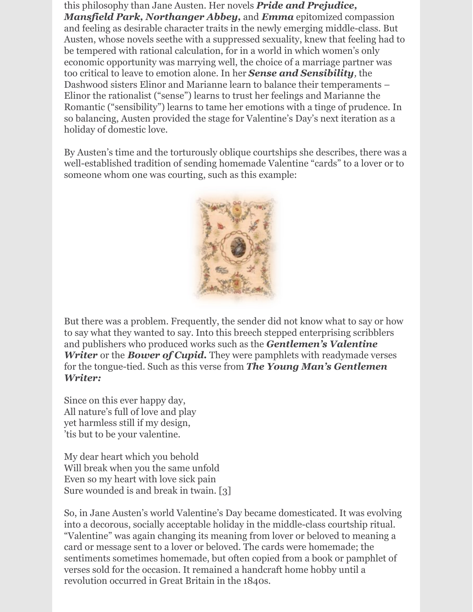this philosophy than Jane Austen. Her novels *Pride and Prejudice, Mansfield Park, Northanger Abbey,* and *Emma* epitomized compassion and feeling as desirable character traits in the newly emerging middle-class. But Austen, whose novels seethe with a suppressed sexuality, knew that feeling had to be tempered with rational calculation, for in a world in which women's only economic opportunity was marrying well, the choice of a marriage partner was too critical to leave to emotion alone. In her *Sense and Sensibility,* the Dashwood sisters Elinor and Marianne learn to balance their temperaments – Elinor the rationalist ("sense") learns to trust her feelings and Marianne the Romantic ("sensibility") learns to tame her emotions with a tinge of prudence. In so balancing, Austen provided the stage for Valentine's Day's next iteration as a holiday of domestic love.

By Austen's time and the torturously oblique courtships she describes, there was a well-established tradition of sending homemade Valentine "cards" to a lover or to someone whom one was courting, such as this example:



But there was a problem. Frequently, the sender did not know what to say or how to say what they wanted to say. Into this breech stepped enterprising scribblers and publishers who produced works such as the *Gentlemen's Valentine Writer* or the *Bower of Cupid.* They were pamphlets with readymade verses for the tongue-tied. Such as this verse from *The Young Man's Gentlemen Writer:*

Since on this ever happy day, All nature's full of love and play yet harmless still if my design, 'tis but to be your valentine.

My dear heart which you behold Will break when you the same unfold Even so my heart with love sick pain Sure wounded is and break in twain. [3]

So, in Jane Austen's world Valentine's Day became domesticated. It was evolving into a decorous, socially acceptable holiday in the middle-class courtship ritual. "Valentine" was again changing its meaning from lover or beloved to meaning a card or message sent to a lover or beloved. The cards were homemade; the sentiments sometimes homemade, but often copied from a book or pamphlet of verses sold for the occasion. It remained a handcraft home hobby until a revolution occurred in Great Britain in the 1840s.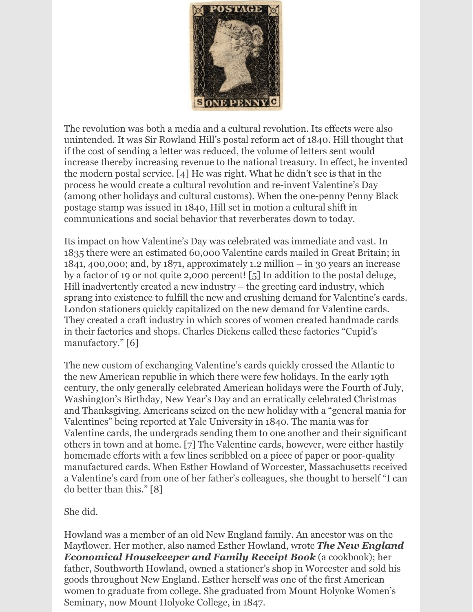

The revolution was both a media and a cultural revolution. Its effects were also unintended. It was Sir Rowland Hill's postal reform act of 1840. Hill thought that if the cost of sending a letter was reduced, the volume of letters sent would increase thereby increasing revenue to the national treasury. In effect, he invented the modern postal service. [4] He was right. What he didn't see is that in the process he would create a cultural revolution and re-invent Valentine's Day (among other holidays and cultural customs). When the one-penny Penny Black postage stamp was issued in 1840, Hill set in motion a cultural shift in communications and social behavior that reverberates down to today.

Its impact on how Valentine's Day was celebrated was immediate and vast. In 1835 there were an estimated 60,000 Valentine cards mailed in Great Britain; in 1841, 400,000; and, by 1871, approximately 1.2 million – in 30 years an increase by a factor of 19 or not quite 2,000 percent! [5] In addition to the postal deluge, Hill inadvertently created a new industry – the greeting card industry, which sprang into existence to fulfill the new and crushing demand for Valentine's cards. London stationers quickly capitalized on the new demand for Valentine cards. They created a craft industry in which scores of women created handmade cards in their factories and shops. Charles Dickens called these factories "Cupid's manufactory." [6]

The new custom of exchanging Valentine's cards quickly crossed the Atlantic to the new American republic in which there were few holidays. In the early 19th century, the only generally celebrated American holidays were the Fourth of July, Washington's Birthday, New Year's Day and an erratically celebrated Christmas and Thanksgiving. Americans seized on the new holiday with a "general mania for Valentines" being reported at Yale University in 1840. The mania was for Valentine cards, the undergrads sending them to one another and their significant others in town and at home. [7] The Valentine cards, however, were either hastily homemade efforts with a few lines scribbled on a piece of paper or poor-quality manufactured cards. When Esther Howland of Worcester, Massachusetts received a Valentine's card from one of her father's colleagues, she thought to herself "I can do better than this." [8]

She did.

Howland was a member of an old New England family. An ancestor was on the Mayflower. Her mother, also named Esther Howland, wrote *The New England Economical Housekeeper and Family Receipt Book* (a cookbook); her father, Southworth Howland, owned a stationer's shop in Worcester and sold his goods throughout New England. Esther herself was one of the first American women to graduate from college. She graduated from Mount Holyoke Women's Seminary, now Mount Holyoke College, in 1847.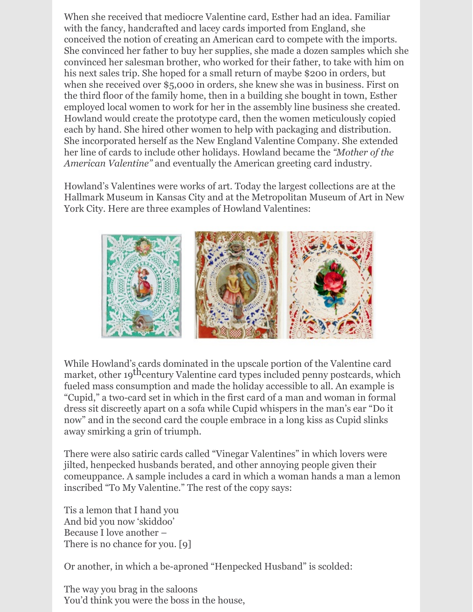When she received that mediocre Valentine card, Esther had an idea. Familiar with the fancy, handcrafted and lacey cards imported from England, she conceived the notion of creating an American card to compete with the imports. She convinced her father to buy her supplies, she made a dozen samples which she convinced her salesman brother, who worked for their father, to take with him on his next sales trip. She hoped for a small return of maybe \$200 in orders, but when she received over \$5,000 in orders, she knew she was in business. First on the third floor of the family home, then in a building she bought in town, Esther employed local women to work for her in the assembly line business she created. Howland would create the prototype card, then the women meticulously copied each by hand. She hired other women to help with packaging and distribution. She incorporated herself as the New England Valentine Company. She extended her line of cards to include other holidays. Howland became the *"Mother of the American Valentine"* and eventually the American greeting card industry.

Howland's Valentines were works of art. Today the largest collections are at the Hallmark Museum in Kansas City and at the Metropolitan Museum of Art in New York City. Here are three examples of Howland Valentines:



While Howland's cards dominated in the upscale portion of the Valentine card market, other 19<sup>th</sup>century Valentine card types included penny postcards, which fueled mass consumption and made the holiday accessible to all. An example is "Cupid," a two-card set in which in the first card of a man and woman in formal dress sit discreetly apart on a sofa while Cupid whispers in the man's ear "Do it now" and in the second card the couple embrace in a long kiss as Cupid slinks away smirking a grin of triumph.

There were also satiric cards called "Vinegar Valentines" in which lovers were jilted, henpecked husbands berated, and other annoying people given their comeuppance. A sample includes a card in which a woman hands a man a lemon inscribed "To My Valentine." The rest of the copy says:

Tis a lemon that I hand you And bid you now 'skiddoo' Because I love another – There is no chance for you. [9]

Or another, in which a be-aproned "Henpecked Husband" is scolded:

The way you brag in the saloons You'd think you were the boss in the house,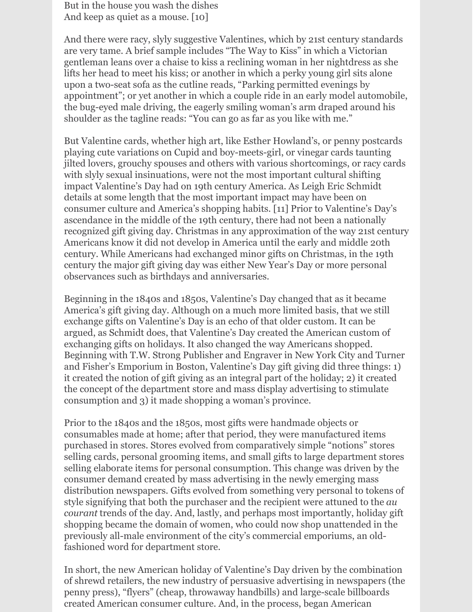But in the house you wash the dishes And keep as quiet as a mouse. [10]

And there were racy, slyly suggestive Valentines, which by 21st century standards are very tame. A brief sample includes "The Way to Kiss" in which a Victorian gentleman leans over a chaise to kiss a reclining woman in her nightdress as she lifts her head to meet his kiss; or another in which a perky young girl sits alone upon a two-seat sofa as the cutline reads, "Parking permitted evenings by appointment"; or yet another in which a couple ride in an early model automobile, the bug-eyed male driving, the eagerly smiling woman's arm draped around his shoulder as the tagline reads: "You can go as far as you like with me."

But Valentine cards, whether high art, like Esther Howland's, or penny postcards playing cute variations on Cupid and boy-meets-girl, or vinegar cards taunting jilted lovers, grouchy spouses and others with various shortcomings, or racy cards with slyly sexual insinuations, were not the most important cultural shifting impact Valentine's Day had on 19th century America. As Leigh Eric Schmidt details at some length that the most important impact may have been on consumer culture and America's shopping habits. [11] Prior to Valentine's Day's ascendance in the middle of the 19th century, there had not been a nationally recognized gift giving day. Christmas in any approximation of the way 21st century Americans know it did not develop in America until the early and middle 20th century. While Americans had exchanged minor gifts on Christmas, in the 19th century the major gift giving day was either New Year's Day or more personal observances such as birthdays and anniversaries.

Beginning in the 1840s and 1850s, Valentine's Day changed that as it became America's gift giving day. Although on a much more limited basis, that we still exchange gifts on Valentine's Day is an echo of that older custom. It can be argued, as Schmidt does, that Valentine's Day created the American custom of exchanging gifts on holidays. It also changed the way Americans shopped. Beginning with T.W. Strong Publisher and Engraver in New York City and Turner and Fisher's Emporium in Boston, Valentine's Day gift giving did three things: 1) it created the notion of gift giving as an integral part of the holiday; 2) it created the concept of the department store and mass display advertising to stimulate consumption and 3) it made shopping a woman's province.

Prior to the 1840s and the 1850s, most gifts were handmade objects or consumables made at home; after that period, they were manufactured items purchased in stores. Stores evolved from comparatively simple "notions" stores selling cards, personal grooming items, and small gifts to large department stores selling elaborate items for personal consumption. This change was driven by the consumer demand created by mass advertising in the newly emerging mass distribution newspapers. Gifts evolved from something very personal to tokens of style signifying that both the purchaser and the recipient were attuned to the *au courant* trends of the day. And, lastly, and perhaps most importantly, holiday gift shopping became the domain of women, who could now shop unattended in the previously all-male environment of the city's commercial emporiums, an oldfashioned word for department store.

In short, the new American holiday of Valentine's Day driven by the combination of shrewd retailers, the new industry of persuasive advertising in newspapers (the penny press), "flyers" (cheap, throwaway handbills) and large-scale billboards created American consumer culture. And, in the process, began American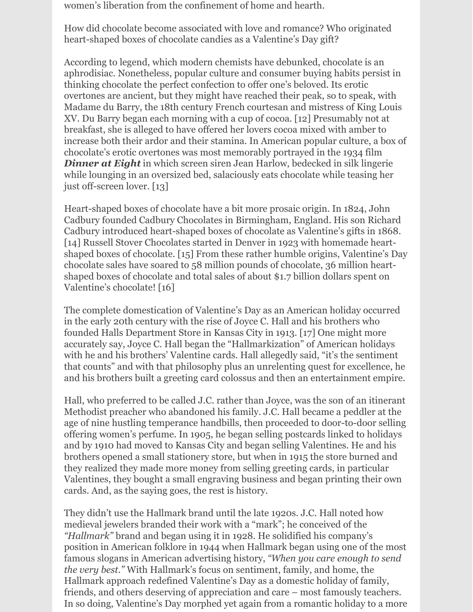women's liberation from the confinement of home and hearth.

How did chocolate become associated with love and romance? Who originated heart-shaped boxes of chocolate candies as a Valentine's Day gift?

According to legend, which modern chemists have debunked, chocolate is an aphrodisiac. Nonetheless, popular culture and consumer buying habits persist in thinking chocolate the perfect confection to offer one's beloved. Its erotic overtones are ancient, but they might have reached their peak, so to speak, with Madame du Barry, the 18th century French courtesan and mistress of King Louis XV. Du Barry began each morning with a cup of cocoa. [12] Presumably not at breakfast, she is alleged to have offered her lovers cocoa mixed with amber to increase both their ardor and their stamina. In American popular culture, a box of chocolate's erotic overtones was most memorably portrayed in the 1934 film *Dinner at Eight* in which screen siren Jean Harlow, bedecked in silk lingerie while lounging in an oversized bed, salaciously eats chocolate while teasing her just off-screen lover. [13]

Heart-shaped boxes of chocolate have a bit more prosaic origin. In 1824, John Cadbury founded Cadbury Chocolates in Birmingham, England. His son Richard Cadbury introduced heart-shaped boxes of chocolate as Valentine's gifts in 1868. [14] Russell Stover Chocolates started in Denver in 1923 with homemade heartshaped boxes of chocolate. [15] From these rather humble origins, Valentine's Day chocolate sales have soared to 58 million pounds of chocolate, 36 million heartshaped boxes of chocolate and total sales of about \$1.7 billion dollars spent on Valentine's chocolate! [16]

The complete domestication of Valentine's Day as an American holiday occurred in the early 20th century with the rise of Joyce C. Hall and his brothers who founded Halls Department Store in Kansas City in 1913. [17] One might more accurately say, Joyce C. Hall began the "Hallmarkization" of American holidays with he and his brothers' Valentine cards. Hall allegedly said, "it's the sentiment that counts" and with that philosophy plus an unrelenting quest for excellence, he and his brothers built a greeting card colossus and then an entertainment empire.

Hall, who preferred to be called J.C. rather than Joyce, was the son of an itinerant Methodist preacher who abandoned his family. J.C. Hall became a peddler at the age of nine hustling temperance handbills, then proceeded to door-to-door selling offering women's perfume. In 1905, he began selling postcards linked to holidays and by 1910 had moved to Kansas City and began selling Valentines. He and his brothers opened a small stationery store, but when in 1915 the store burned and they realized they made more money from selling greeting cards, in particular Valentines, they bought a small engraving business and began printing their own cards. And, as the saying goes, the rest is history.

They didn't use the Hallmark brand until the late 1920s. J.C. Hall noted how medieval jewelers branded their work with a "mark"; he conceived of the *"Hallmark"* brand and began using it in 1928. He solidified his company's position in American folklore in 1944 when Hallmark began using one of the most famous slogans in American advertising history, *"When you care enough to send the very best."* With Hallmark's focus on sentiment, family, and home, the Hallmark approach redefined Valentine's Day as a domestic holiday of family, friends, and others deserving of appreciation and care – most famously teachers. In so doing, Valentine's Day morphed yet again from a romantic holiday to a more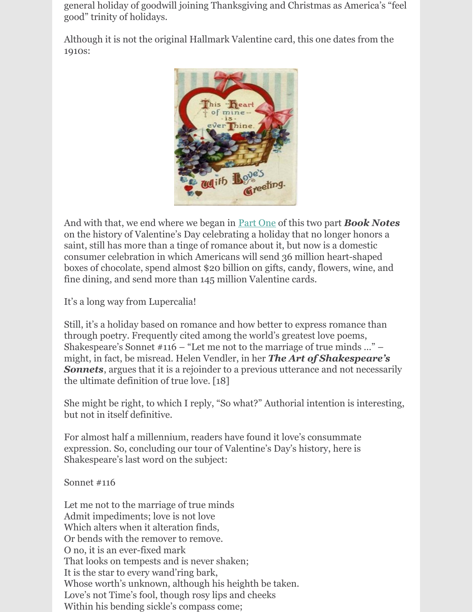general holiday of goodwill joining Thanksgiving and Christmas as America's "feel good" trinity of holidays.

Although it is not the original Hallmark Valentine card, this one dates from the 1910s:



And with that, we end where we began in [Part](https://www.jeserie.org/uploads/Essays/Book Notes 88 From Roman Fertility Ritual to Hallmark Moment.pdf) One of this two part *Book Notes* on the history of Valentine's Day celebrating a holiday that no longer honors a saint, still has more than a tinge of romance about it, but now is a domestic consumer celebration in which Americans will send 36 million heart-shaped boxes of chocolate, spend almost \$20 billion on gifts, candy, flowers, wine, and fine dining, and send more than 145 million Valentine cards.

It's a long way from Lupercalia!

Still, it's a holiday based on romance and how better to express romance than through poetry. Frequently cited among the world's greatest love poems, Shakespeare's Sonnet  $#116$  – "Let me not to the marriage of true minds ..." – might, in fact, be misread. Helen Vendler, in her *The Art of Shakespeare's* **Sonnets**, argues that it is a rejoinder to a previous utterance and not necessarily the ultimate definition of true love. [18]

She might be right, to which I reply, "So what?" Authorial intention is interesting, but not in itself definitive.

For almost half a millennium, readers have found it love's consummate expression. So, concluding our tour of Valentine's Day's history, here is Shakespeare's last word on the subject:

Sonnet #116

Let me not to the marriage of true minds Admit impediments; love is not love Which alters when it alteration finds, Or bends with the remover to remove. O no, it is an ever-fixed mark That looks on tempests and is never shaken; It is the star to every wand'ring bark, Whose worth's unknown, although his heighth be taken. Love's not Time's fool, though rosy lips and cheeks Within his bending sickle's compass come;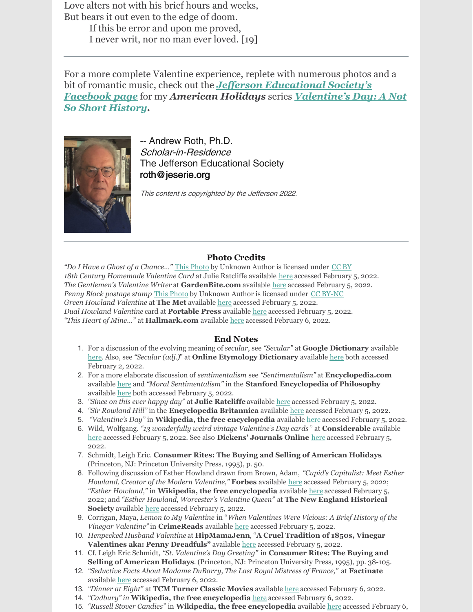Love alters not with his brief hours and weeks, But bears it out even to the edge of doom. If this be error and upon me proved,

I never writ, nor no man ever loved. [19]

For a more complete Valentine experience, replete with numerous photos and a bit of romantic music, check out the *Jef erson [Educational](https://www.facebook.com/JeffersonErie) Society's Facebook page* for my *American Holidays* series *[Valentine's](https://fb.watch/bbNTzaHWpY/) Day: A Not So Short History.*



-- Andrew Roth, Ph.D. Scholar-in-Residence The Jefferson Educational Society [roth@jeserie.org](mailto:roth@jeserie.org)

This content is copyrighted by the Jefferson 2022.

### **Photo Credits**

*"Do I Have a Ghost of a Chance…"* This [Photo](https://www.flickr.com/photos/51764518@N02/15188844302/) by Unknown Author is licensed under [CC](https://creativecommons.org/licenses/by/3.0/) BY *18th Century Homemade Valentine Card* at Julie Ratcliffe available [here](https://www.julieratcliffe.co.uk/created-with-love/) accessed February 5, 2022. *The Gentlemen's Valentine Writer* at **GardenBite.com** available [here](https://gardenbite.com/valentines-day-history-2/) accessed February 5, 2022. *Penny Black postage stamp* This [Photo](http://missdarcy.org/a-black-penny-brunch/) by Unknown Author is licensed under CC [BY-NC](https://creativecommons.org/licenses/by-nc/3.0/) *Green Howland Valentine* at **The Met** available [here](https://www.metmuseum.org/art/collection/search/775411) accessed February 5, 2022. *Dual Howland Valentine* card at **Portable Press** available [here](https://www.portablepress.com/blog/2019/02/hester-howland-valentine-queen/) accessed February 5, 2022. *"This Heart of Mine…"* at **Hallmark.com** available [here](https://ideas.hallmark.com/articles/valentines-day-ideas/history-of-valentines-day/) accessed February 6, 2022.

### **End Notes**

- 1. For a discussion of the evolving meaning of *secular*, see *"Secular"* at **Google Dictionary** available [here](https://www.google.com/search?q=secular+definition&rlz=1C1CHBF_enUS890US890&oq=secular&aqs=chrome.1.69i57j0i433i512l5j46i131i433i512j0i433i512j0i512j0i433i512.5235j0j7&sourceid=chrome&ie=UTF-8). Also, see *"Secular (adj.)*" at **Online Etymology Dictionary** available [here](https://www.etymonline.com/search?q=secular) both accessed February 2, 2022.
- 2. For a more elaborate discussion of *sentimentalism* see *"Sentimentalism"* at **Encyclopedia.com** available [here](https://www.encyclopedia.com/arts/culture-magazines/sentimentalism) and *"Moral Sentimentalism"* in the **Stanford Encyclopedia of Philosophy** available [here](https://plato.stanford.edu/entries/moral-sentimentalism/) both accessed February 5, 2022.
- 3. *"Since on this ever happy day"* at **Julie Ratcliffe** available [here](https://www.julieratcliffe.co.uk/created-with-love/) accessed February 5, 2022.
- 4. *"Sir Rowland Hill"* in the **Encyclopedia Britannica** available [here](https://www.britannica.com/biography/Rowland-Hill-English-administrator-and-educator) accessed February 5, 2022.
- 5. *"Valentine's Day"* in **Wikipedia, the free encyclopedia** available [here](https://en.wikipedia.org/wiki/Valentine%27s_Day) accessed February 5, 2022.
- 6. Wild, Wolfgang. *"13 wonderfully weird vintage Valentine's Day cards* " at **Considerable** available [here](https://www.considerable.com/entertainment/retronaut/13-weird-vintage-valentines-day-cards/) accessed February 5, 2022. See also **Dickens' Journals Online** [here](https://www.djo.org.uk/indexes/articles/cupids-manufactory.html) accessed February 5, 2022.
- 7. Schmidt, Leigh Eric. **Consumer Rites: The Buying and Selling of American Holidays**. (Princeton, NJ: Princeton University Press, 1995), p. 50.
- 8. Following discussion of Esther Howland drawn from Brown, Adam, *"Cupid's Capitalist: Meet Esther Howland, Creator of the Modern Valentine,"* **Forbes** available [here](https://www.forbes.com/sites/abrambrown/2020/02/14/cupids-capitalist-meet-esther-howland-the-19th-century-creator-of-the-modern-valentine/?sh=2ab02efe6cab) accessed February 5, 2022; *"Esther Howland,"* in **Wikipedia, the free encyclopedia** available [here](https://en.wikipedia.org/wiki/Esther_Howland) accessed February 5, 2022; and *"Esther Howland, Worcester's Valentine Queen"* at **The New England Historical Society** available [here](https://www.newenglandhistoricalsociety.com/esther-howland-worcester-valentine-queen/) accessed February 5, 2022.
- 9. Corrigan, Maya, *Lemon to My Valentine* in "*When Valentines Were Vicious: A Brief History of the Vinegar Valentine"* in **CrimeReads** available [here](https://crimereads.com/when-valentines-were-vicious-a-brief-history-of-the-vinegar-valentine/) accessed February 5, 2022.
- 10. *Henpecked Husband Valentine* at **HipMamaJenn**, "**A Cruel Tradition of 1850s, Vinegar Valentines aka: Penny Dreadfuls"** available [here](https://hipmamajenn.com/2016/02/10/a-cruel-tradition-of-1850s-vinegar-valentines-aka-penny-dreadfuls/) accessed February 5, 2022.
- 11. Cf. Leigh Eric Schmidt, *"St. Valentine's Day Greeting"* in **Consumer Rites: The Buying and Selling of American Holidays**. (Princeton, NJ: Princeton University Press, 1995), pp. 38-105.
- 12. *"Seductive Facts About Madame DuBarry, The Last Royal Mistress of France,"* at **Factinate** available [here](https://www.factinate.com/people/facts-madame-du-barry/) accessed February 6, 2022.
- 13. *"Dinner at Eight"* at **TCM Turner Classic Movies** available [here](https://www.tcm.com/tcmdb/title/12530/dinner-at-eight#overview) accessed February 6, 2022.
- 14. *"Cadbury" in* **Wikipedia, the free encyclopedia** [here](https://en.wikipedia.org/wiki/Cadbury) accessed February 6, 2022.
- 15. *"Russell Stover Candies"* in **Wikipedia, the free encyclopedia** available [here](https://en.wikipedia.org/wiki/Russell_Stover_Candies) accessed February 6,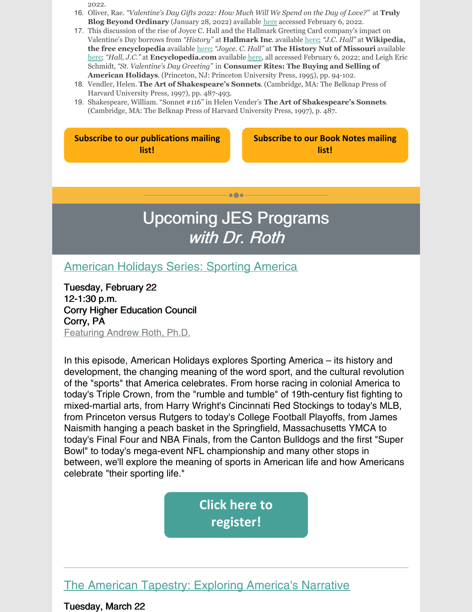2022.

- 16. Oliver, Rae. *"Valentine's Day Gifts 2022: How Much Will We Spend on the Day of Love?"* at **Truly Blog Beyond Ordinary** (January 28, 2022) available [here](https://trulyexperiences.com/blog/valentines-day-gifts-spending/) accessed February 6, 2022.
- 17. This discussion of the rise of Joyce C. Hall and the Hallmark Greeting Card company's impact on Valentine's Day borrows from *"History"* at **Hallmark Inc**. available [here](https://corporate.hallmark.com/about/hallmark-cards-company/history/); *"J.C. Hall"* at **Wikipedia, the free encyclopedia** available [here](https://en.wikipedia.org/wiki/J._C._Hall_(businessman)); *"Joyce. C. Hall"* at **The History Nut of Missouri** available [here](https://the-history-nut-of-missouri.blogspot.com/2017/05/joyce-c-hall-mark.html); *"Hall, J.C."* at **Encyclopedia.com** available [here](https://www.encyclopedia.com/education/economics-magazines/hall-jc), all accessed February 6, 2022; and Leigh Eric Schmidt, *"St. Valentine's Day Greeting"* in **Consumer Rites: The Buying and Selling of American Holidays**. (Princeton, NJ: Princeton University Press, 1995), pp. 94-102.
- 18. Vendler, Helen. **The Art of Shakespeare's Sonnets**. (Cambridge, MA: The Belknap Press of Harvard University Press, 1997), pp. 487-493.
- 19. Shakespeare, William. "Sonnet #116" in Helen Vender's **The Art of Shakespeare's Sonnets**. (Cambridge, MA: The Belknap Press of Harvard University Press, 1997), p. 487.

| <b>Subscribe to our publications mailing</b> |  |
|----------------------------------------------|--|
| list!                                        |  |

**[Subscribe](https://lp.constantcontactpages.com/su/TXbaxH2/BookNotesSubscription?source_id=622034f2-6990-4401-aa86-ad901241ba41&source_type=em&c=) to our Book Notes mailing list!**

## Upcoming JES Programs with Dr. Roth

 $\bullet\bullet\bullet$ 

[American](https://www.jeserie.org/events/details/american-holidays-series-sporting-america) Holidays Series: Sporting America

Tuesday, February 22 12-1:30 p.m. Corry Higher Education Council Corry, PA Featuring Andrew Roth, Ph.D.

In this episode, American Holidays explores Sporting America – its history and development, the changing meaning of the word sport, and the cultural revolution of the "sports" that America celebrates. From horse racing in colonial America to today's Triple Crown, from the "rumble and tumble" of 19th-century fist fighting to mixed-martial arts, from Harry Wright's Cincinnati Red Stockings to today's MLB, from Princeton versus Rutgers to today's College Football Playoffs, from James Naismith hanging a peach basket in the Springfield, Massachusetts YMCA to today's Final Four and NBA Finals, from the Canton Bulldogs and the first "Super Bowl" to today's mega-event NFL championship and many other stops in between, we'll explore the meaning of sports in American life and how Americans celebrate "their sporting life."

> **Click here to [register!](https://www.jeserie.org/events/details/american-holidays-series-sporting-america)**

## The American Tapestry: Exploring [America's](https://www.jeserie.org/events/details/the-american-tapestry-exploring-americas-narrative) Narrative

Tuesday, March 22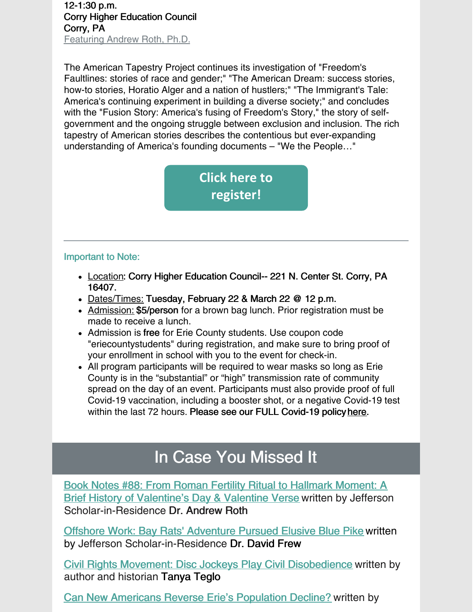12-1:30 p.m. Corry Higher Education Council Corry, PA Featuring Andrew Roth, Ph.D.

The American Tapestry Project continues its investigation of "Freedom's Faultlines: stories of race and gender;" "The American Dream: success stories, how-to stories, Horatio Alger and a nation of hustlers;" "The Immigrant's Tale: America's continuing experiment in building a diverse society;" and concludes with the "Fusion Story: America's fusing of Freedom's Story," the story of selfgovernment and the ongoing struggle between exclusion and inclusion. The rich tapestry of American stories describes the contentious but ever-expanding understanding of America's founding documents – "We the People…"

> **Click here to [register!](https://www.jeserie.org/events/details/the-american-tapestry-exploring-americas-narrative)**

## Important to Note:

- Location: Corry Higher Education Council-- 221 N. Center St. Corry, PA 16407.
- Dates/Times: Tuesday, February 22 & March 22 @ 12 p.m.
- Admission: \$5/person for a brown bag lunch. Prior registration must be made to receive a lunch.
- Admission is free for Erie County students. Use coupon code "eriecountystudents" during registration, and make sure to bring proof of your enrollment in school with you to the event for check-in.
- All program participants will be required to wear masks so long as Erie County is in the "substantial" or "high" transmission rate of community spread on the day of an event. Participants must also provide proof of full Covid-19 vaccination, including a booster shot, or a negative Covid-19 test within the last 72 hours. Please see our FULL Covid-19 policy [here](https://linkprotect.cudasvc.com/url?a=https%3a%2f%2fwww.jeserie.org%2fabout%2fcovid-policy&c=E,1,yIiinzkmHlv4GeC5STwPDu4lwnSOUgP-s16iJxy0kcfAKTFd9PGr4ZnrJYa8MeIw8ccAeGtBk-SckRZ2dU9AUppcx4adXMYWc-bYFmqC0eR8utfkX98,&typo=1).

## In Case You Missed It

Book Notes #88: From Roman Fertility Ritual to Hallmark Moment: A Brief History of [Valentine's](https://www.jeserie.org/uploads/Essays/Book Notes 88 From Roman Fertility Ritual to Hallmark Moment.pdf) Day & Valentine Verse written by Jefferson Scholar-in-Residence Dr. Andrew Roth

Offshore Work: Bay Rats' [Adventure](https://www.jeserie.org/uploads/Great Timely Reads/New Frew On the Waterfront - Offshore Work.pdf) Pursued Elusive Blue Pike written by Jefferson Scholar-in-Residence Dr. David Frew

Civil Rights Movement: Disc Jockeys Play Civil [Disobedience](https://www.jeserie.org/uploads/Essays/Teglo - WAKIN US UP Civil Rights Movement Disc Jockeys Play Civil_1.pdf) written by author and historian Tanya Teglo

Can New Americans Reverse Erie's [Population](https://www.jeserie.org/uploads/Essays/Ghosheh - Reverse Population.pdf) Decline? written by